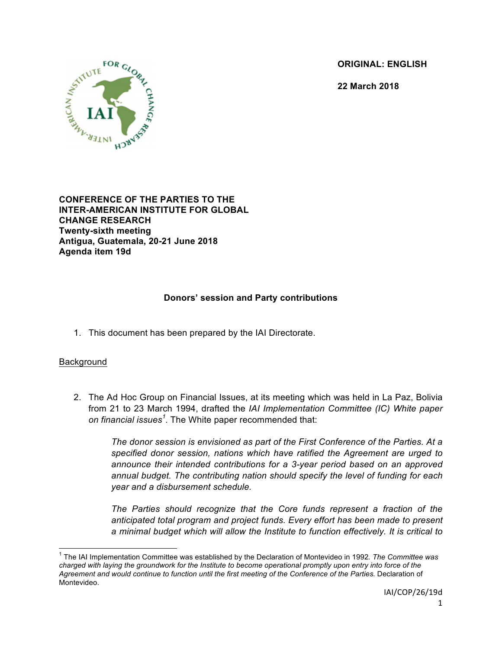**ORIGINAL: ENGLISH**

**22 March 2018**



**CONFERENCE OF THE PARTIES TO THE INTER-AMERICAN INSTITUTE FOR GLOBAL CHANGE RESEARCH Twenty-sixth meeting Antigua, Guatemala, 20-21 June 2018 Agenda item 19d**

## **Donors' session and Party contributions**

1. This document has been prepared by the IAI Directorate.

#### **Background**

2. The Ad Hoc Group on Financial Issues, at its meeting which was held in La Paz, Bolivia from 21 to 23 March 1994, drafted the *IAI Implementation Committee (IC) White paper on financial issues<sup>1</sup>* . The White paper recommended that:

> *The donor session is envisioned as part of the First Conference of the Parties. At a specified donor session, nations which have ratified the Agreement are urged to announce their intended contributions for a 3-year period based on an approved annual budget. The contributing nation should specify the level of funding for each year and a disbursement schedule.*

> *The Parties should recognize that the Core funds represent a fraction of the anticipated total program and project funds. Every effort has been made to present a minimal budget which will allow the Institute to function effectively. It is critical to*

 <sup>1</sup> The IAI Implementation Committee was established by the Declaration of Montevideo in 1992*. The Committee was charged with laying the groundwork for the Institute to become operational promptly upon entry into force of the Agreement and would continue to function until the first meeting of the Conference of the Parties*. Declaration of Montevideo.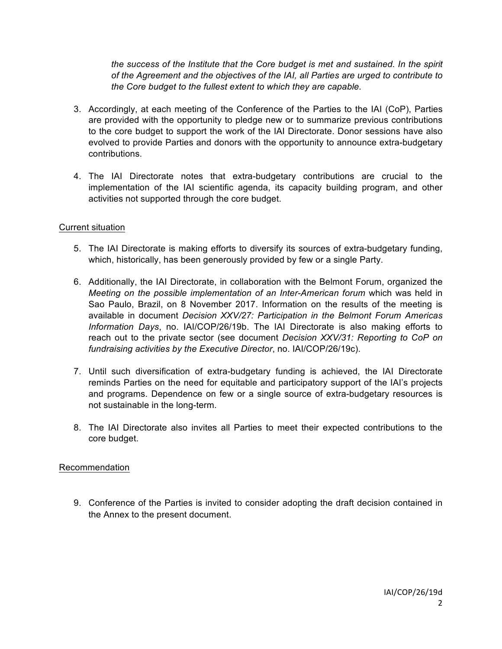*the success of the Institute that the Core budget is met and sustained. In the spirit of the Agreement and the objectives of the IAI, all Parties are urged to contribute to the Core budget to the fullest extent to which they are capable.*

- 3. Accordingly, at each meeting of the Conference of the Parties to the IAI (CoP), Parties are provided with the opportunity to pledge new or to summarize previous contributions to the core budget to support the work of the IAI Directorate. Donor sessions have also evolved to provide Parties and donors with the opportunity to announce extra-budgetary contributions.
- 4. The IAI Directorate notes that extra-budgetary contributions are crucial to the implementation of the IAI scientific agenda, its capacity building program, and other activities not supported through the core budget.

#### Current situation

- 5. The IAI Directorate is making efforts to diversify its sources of extra-budgetary funding, which, historically, has been generously provided by few or a single Party.
- 6. Additionally, the IAI Directorate, in collaboration with the Belmont Forum, organized the *Meeting on the possible implementation of an Inter-American forum* which was held in Sao Paulo, Brazil, on 8 November 2017. Information on the results of the meeting is available in document *Decision XXV/27: Participation in the Belmont Forum Americas Information Days*, no. IAI/COP/26/19b. The IAI Directorate is also making efforts to reach out to the private sector (see document *Decision XXV/31: Reporting to CoP on fundraising activities by the Executive Director*, no. IAI/COP/26/19c).
- 7. Until such diversification of extra-budgetary funding is achieved, the IAI Directorate reminds Parties on the need for equitable and participatory support of the IAI's projects and programs. Dependence on few or a single source of extra-budgetary resources is not sustainable in the long-term.
- 8. The IAI Directorate also invites all Parties to meet their expected contributions to the core budget.

#### Recommendation

9. Conference of the Parties is invited to consider adopting the draft decision contained in the Annex to the present document.